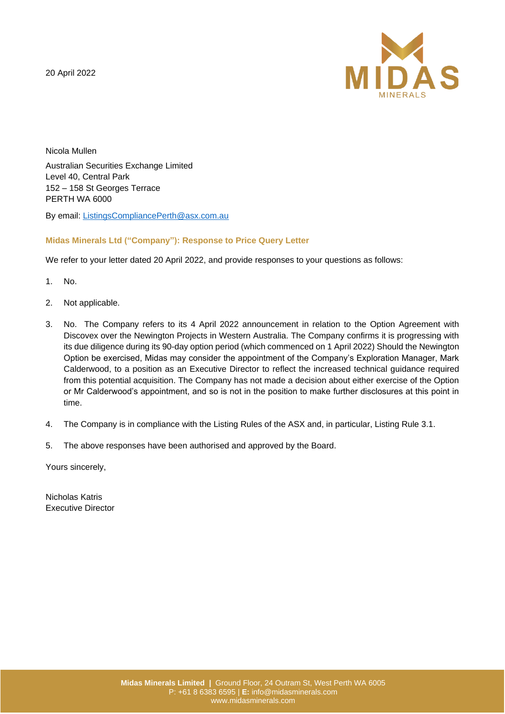20 April 2022



Nicola Mullen Australian Securities Exchange Limited Level 40, Central Park 152 – 158 St Georges Terrace PERTH WA 6000

By email: [ListingsCompliancePerth@asx.com.au](mailto:ListingsCompliancePerth@asx.com.au)

# **Midas Minerals Ltd ("Company"): Response to Price Query Letter**

We refer to your letter dated 20 April 2022, and provide responses to your questions as follows:

- 1. No.
- 2. Not applicable.
- 3. No. The Company refers to its 4 April 2022 announcement in relation to the Option Agreement with Discovex over the Newington Projects in Western Australia. The Company confirms it is progressing with its due diligence during its 90-day option period (which commenced on 1 April 2022) Should the Newington Option be exercised, Midas may consider the appointment of the Company's Exploration Manager, Mark Calderwood, to a position as an Executive Director to reflect the increased technical guidance required from this potential acquisition. The Company has not made a decision about either exercise of the Option or Mr Calderwood's appointment, and so is not in the position to make further disclosures at this point in time.
- 4. The Company is in compliance with the Listing Rules of the ASX and, in particular, Listing Rule 3.1.
- 5. The above responses have been authorised and approved by the Board.

Yours sincerely,

Nicholas Katris Executive Director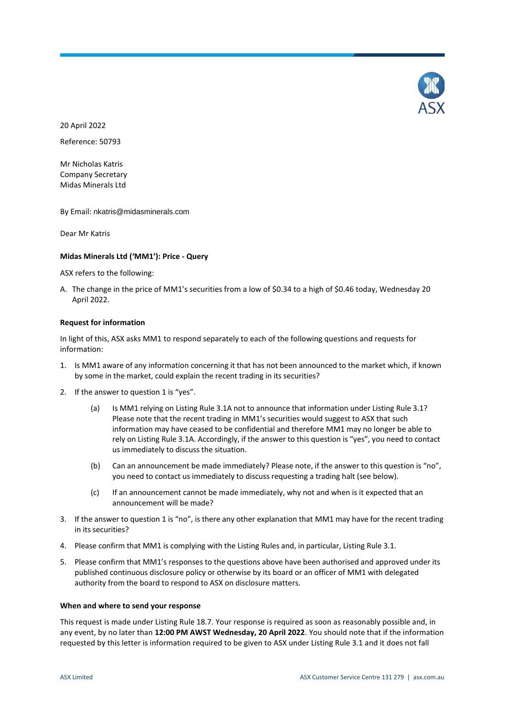

20 April 2022

Reference: 50793

Mr Nicholas Katris Company Secretary Midas Minerals Ltd

By Email: nkatris@midasminerals.com

Dear Mr Katris

## **Midas Minerals Ltd ('MM1'): Price - Query**

ASX refers to the following:

A. The change in the price of MM1's securities from a low of \$0.34 to a high of \$0.46 today, Wednesday 20 April 2022.

### **Request for information**

In light of this, ASX asks MM1 to respond separately to each of the following questions and requests for information:

- 1. Is MM1 aware of any information concerning it that has not been announced to the market which, if known by some in the market, could explain the recent trading in its securities?
- 2. If the answer to question 1 is "yes".
	- (a) Is MM1 relying on Listing Rule 3.1A not to announce that information under Listing Rule 3.1? Please note that the recent trading in MM1's securities would suggest to ASX that such information may have ceased to be confidential and therefore MM1 may no longer be able to rely on Listing Rule 3.1A. Accordingly, if the answer to this question is "yes", you need to contact us immediately to discuss the situation.
	- (b) Can an announcement be made immediately? Please note, if the answer to this question is "no", you need to contact us immediately to discuss requesting a trading halt (see below).
	- (c) If an announcement cannot be made immediately, why not and when is it expected that an announcement will be made?
- 3. If the answer to question 1 is "no", is there any other explanation that MM1 may have for the recent trading in its securities?
- 4. Please confirm that MM1 is complying with the Listing Rules and, in particular, Listing Rule 3.1.
- 5. Please confirm that MM1's responses to the questions above have been authorised and approved under its published continuous disclosure policy or otherwise by its board or an officer of MM1 with delegated authority from the board to respond to ASX on disclosure matters.

### **When and where to send your response**

This request is made under Listing Rule 18.7. Your response is required as soon as reasonably possible and, in any event, by no later than **12:00 PM AWST Wednesday, 20 April 2022**. You should note that if the information requested by this letter is information required to be given to ASX under Listing Rule 3.1 and it does not fall